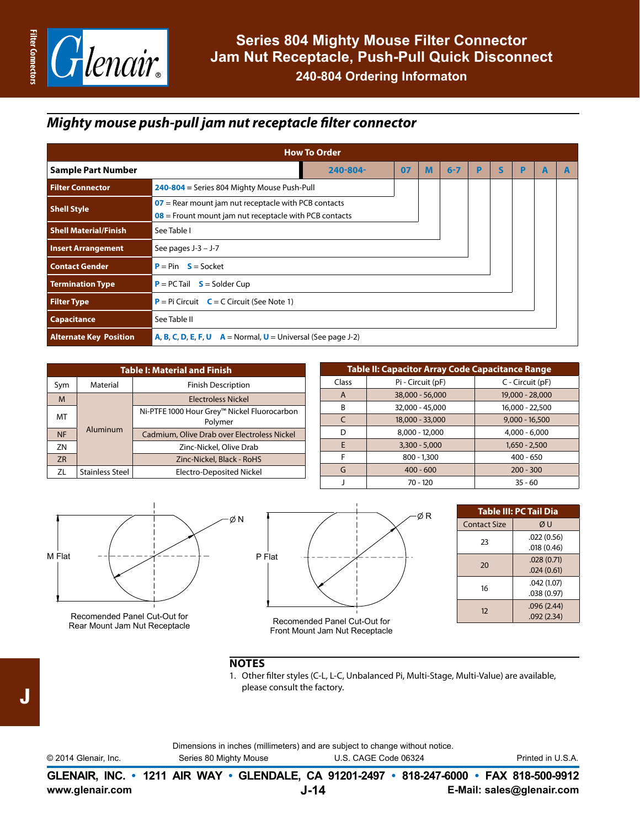

## *Mighty mouse push-pull jam nut receptacle filter connector*

| <b>How To Order</b>                                                        |                                                                          |                                                                                                                    |  |  |  |  |  |  |  |  |  |
|----------------------------------------------------------------------------|--------------------------------------------------------------------------|--------------------------------------------------------------------------------------------------------------------|--|--|--|--|--|--|--|--|--|
| $6 - 7$<br><b>Sample Part Number</b><br>07<br>S<br>240-804-<br>M<br>P<br>P |                                                                          |                                                                                                                    |  |  |  |  |  |  |  |  |  |
| <b>Filter Connector</b>                                                    | 240-804 = Series 804 Mighty Mouse Push-Pull                              |                                                                                                                    |  |  |  |  |  |  |  |  |  |
| <b>Shell Style</b>                                                         |                                                                          | $07$ = Rear mount jam nut receptacle with PCB contacts<br>$08$ = Frount mount jam nut receptacle with PCB contacts |  |  |  |  |  |  |  |  |  |
| <b>Shell Material/Finish</b>                                               | See Table I                                                              |                                                                                                                    |  |  |  |  |  |  |  |  |  |
| <b>Insert Arrangement</b>                                                  | See pages $J-3 - J-7$                                                    |                                                                                                                    |  |  |  |  |  |  |  |  |  |
| <b>Contact Gender</b>                                                      | $P = Pin$ $S = Socket$                                                   |                                                                                                                    |  |  |  |  |  |  |  |  |  |
| <b>Termination Type</b>                                                    | $P = PC$ Tail $S = S$ older Cup                                          |                                                                                                                    |  |  |  |  |  |  |  |  |  |
| <b>Filter Type</b>                                                         | $P = Pi$ Circuit $C = C$ Circuit (See Note 1)                            |                                                                                                                    |  |  |  |  |  |  |  |  |  |
| <b>Capacitance</b>                                                         | See Table II                                                             |                                                                                                                    |  |  |  |  |  |  |  |  |  |
| <b>Alternate Key Position</b>                                              | <b>A, B, C, D, E, F, U</b> $A = Normal$ , $U = Universal$ (See page J-2) |                                                                                                                    |  |  |  |  |  |  |  |  |  |

| <b>Table I: Material and Finish</b> |                        |                                                        |  |  |  |  |  |
|-------------------------------------|------------------------|--------------------------------------------------------|--|--|--|--|--|
| Sym                                 | Material               | <b>Finish Description</b>                              |  |  |  |  |  |
| M                                   | Aluminum               | <b>Electroless Nickel</b>                              |  |  |  |  |  |
| MT                                  |                        | Ni-PTFE 1000 Hour Grey™ Nickel Fluorocarbon<br>Polymer |  |  |  |  |  |
| <b>NF</b>                           |                        | Cadmium, Olive Drab over Electroless Nickel            |  |  |  |  |  |
| ZN                                  |                        | Zinc-Nickel, Olive Drab                                |  |  |  |  |  |
| <b>ZR</b>                           |                        | Zinc-Nickel, Black - RoHS                              |  |  |  |  |  |
| ZL                                  | <b>Stainless Steel</b> | <b>Electro-Deposited Nickel</b>                        |  |  |  |  |  |

| <b>Table II: Capacitor Array Code Capacitance Range</b> |                   |                  |  |  |  |  |  |  |
|---------------------------------------------------------|-------------------|------------------|--|--|--|--|--|--|
| Class                                                   | Pi - Circuit (pF) | C - Circuit (pF) |  |  |  |  |  |  |
| A                                                       | 38,000 - 56,000   | 19,000 - 28,000  |  |  |  |  |  |  |
| B                                                       | 32,000 - 45,000   | 16,000 - 22,500  |  |  |  |  |  |  |
| $\epsilon$                                              | 18,000 - 33,000   | $9,000 - 16,500$ |  |  |  |  |  |  |
| D                                                       | $8,000 - 12,000$  | $4,000 - 6,000$  |  |  |  |  |  |  |
| F                                                       | $3,300 - 5,000$   | $1,650 - 2,500$  |  |  |  |  |  |  |
| F                                                       | $800 - 1,300$     | $400 - 650$      |  |  |  |  |  |  |
| G                                                       | $400 - 600$       | $200 - 300$      |  |  |  |  |  |  |
|                                                         | $70 - 120$        | $35 - 60$        |  |  |  |  |  |  |



Recomended Panel Cut-Out for Rear Mount Jam Nut Receptacle



| Table III: PC Tail Dia |  |  |  |  |  |  |
|------------------------|--|--|--|--|--|--|
| ØU                     |  |  |  |  |  |  |
| .022(0.56)             |  |  |  |  |  |  |
| .018(0.46)             |  |  |  |  |  |  |
| .028(0.71)             |  |  |  |  |  |  |
| .024(0.61)             |  |  |  |  |  |  |
| .042 (1.07)            |  |  |  |  |  |  |
| .038 (0.97)            |  |  |  |  |  |  |
| .096(2.44)             |  |  |  |  |  |  |
| .092(2.34)             |  |  |  |  |  |  |
|                        |  |  |  |  |  |  |

## **NOTES**

1. Other filter styles (C-L, L-C, Unbalanced Pi, Multi-Stage, Multi-Value) are available, please consult the factory.

|                      |                        | Dimensions in inches (millimeters) and are subject to change without notice.             |                   |
|----------------------|------------------------|------------------------------------------------------------------------------------------|-------------------|
| © 2014 Glenair, Inc. | Series 80 Mighty Mouse | U.S. CAGE Code 06324                                                                     | Printed in U.S.A. |
|                      |                        | GLENAIR, INC. • 1211 AIR WAY • GLENDALE, CA 91201-2497 • 818-247-6000 • FAX 818-500-9912 |                   |

J

**www.glenair.com E-Mail: sales@glenair.com**

**J-14**